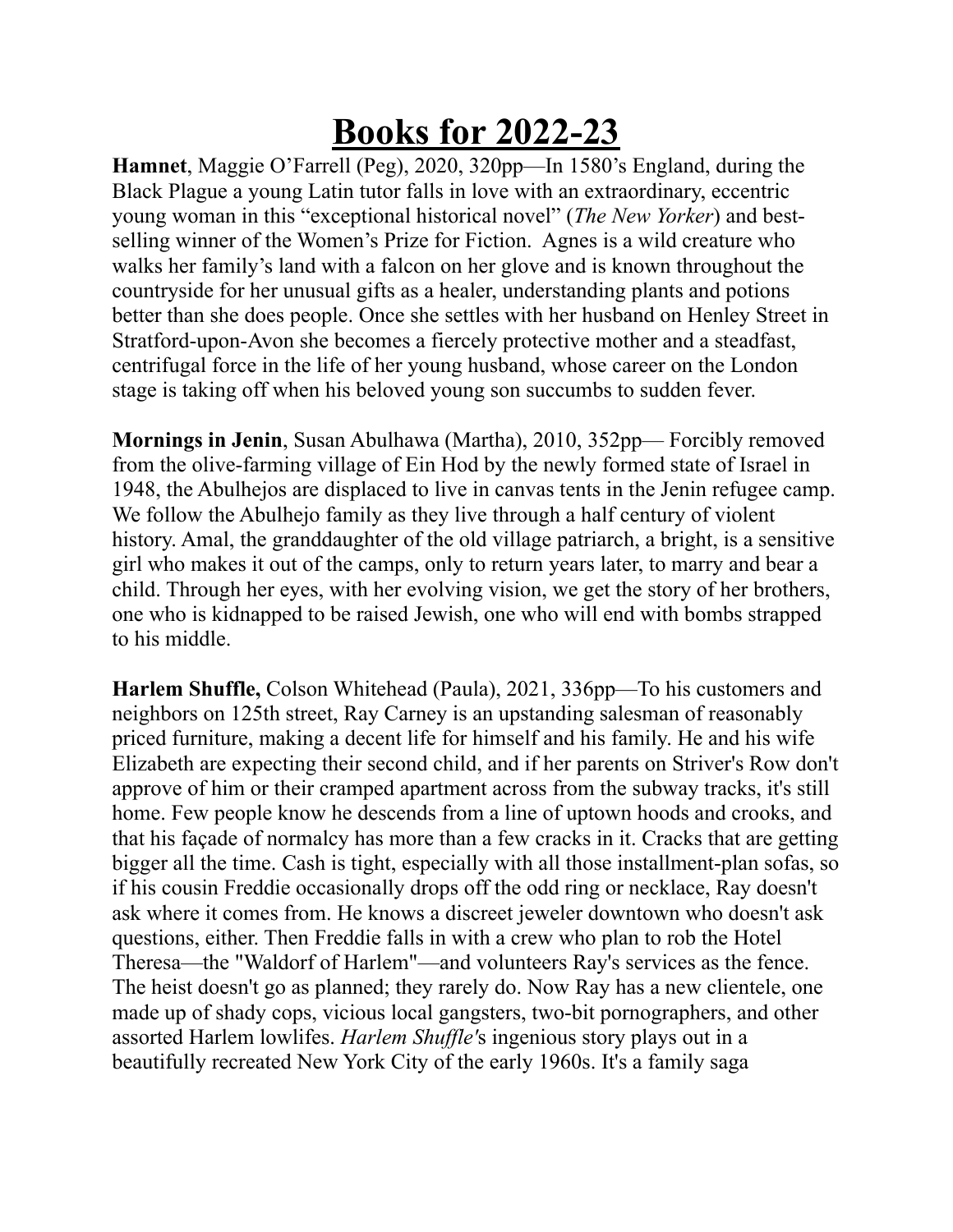## **Books for 2022-23**

**Hamnet**, Maggie O'Farrell (Peg), 2020, 320pp—In 1580's England, during the Black Plague a young Latin tutor falls in love with an extraordinary, eccentric young woman in this "exceptional historical novel" (*The New Yorker*) and bestselling winner of the Women's Prize for Fiction. Agnes is a wild creature who walks her family's land with a falcon on her glove and is known throughout the countryside for her unusual gifts as a healer, understanding plants and potions better than she does people. Once she settles with her husband on Henley Street in Stratford-upon-Avon she becomes a fiercely protective mother and a steadfast, centrifugal force in the life of her young husband, whose career on the London stage is taking off when his beloved young son succumbs to sudden fever.

**Mornings in Jenin**, Susan Abulhawa (Martha), 2010, 352pp— Forcibly removed from the olive-farming village of Ein Hod by the newly formed state of Israel in 1948, the Abulhejos are displaced to live in canvas tents in the Jenin refugee camp. We follow the Abulhejo family as they live through a half century of violent history. Amal, the granddaughter of the old village patriarch, a bright, is a sensitive girl who makes it out of the camps, only to return years later, to marry and bear a child. Through her eyes, with her evolving vision, we get the story of her brothers, one who is kidnapped to be raised Jewish, one who will end with bombs strapped to his middle.

**Harlem Shuffle,** Colson Whitehead (Paula), 2021, 336pp—To his customers and neighbors on 125th street, Ray Carney is an upstanding salesman of reasonably priced furniture, making a decent life for himself and his family. He and his wife Elizabeth are expecting their second child, and if her parents on Striver's Row don't approve of him or their cramped apartment across from the subway tracks, it's still home. Few people know he descends from a line of uptown hoods and crooks, and that his façade of normalcy has more than a few cracks in it. Cracks that are getting bigger all the time. Cash is tight, especially with all those installment-plan sofas, so if his cousin Freddie occasionally drops off the odd ring or necklace, Ray doesn't ask where it comes from. He knows a discreet jeweler downtown who doesn't ask questions, either. Then Freddie falls in with a crew who plan to rob the Hotel Theresa—the "Waldorf of Harlem"—and volunteers Ray's services as the fence. The heist doesn't go as planned; they rarely do. Now Ray has a new clientele, one made up of shady cops, vicious local gangsters, two-bit pornographers, and other assorted Harlem lowlifes. *Harlem Shuffle'*s ingenious story plays out in a beautifully recreated New York City of the early 1960s. It's a family saga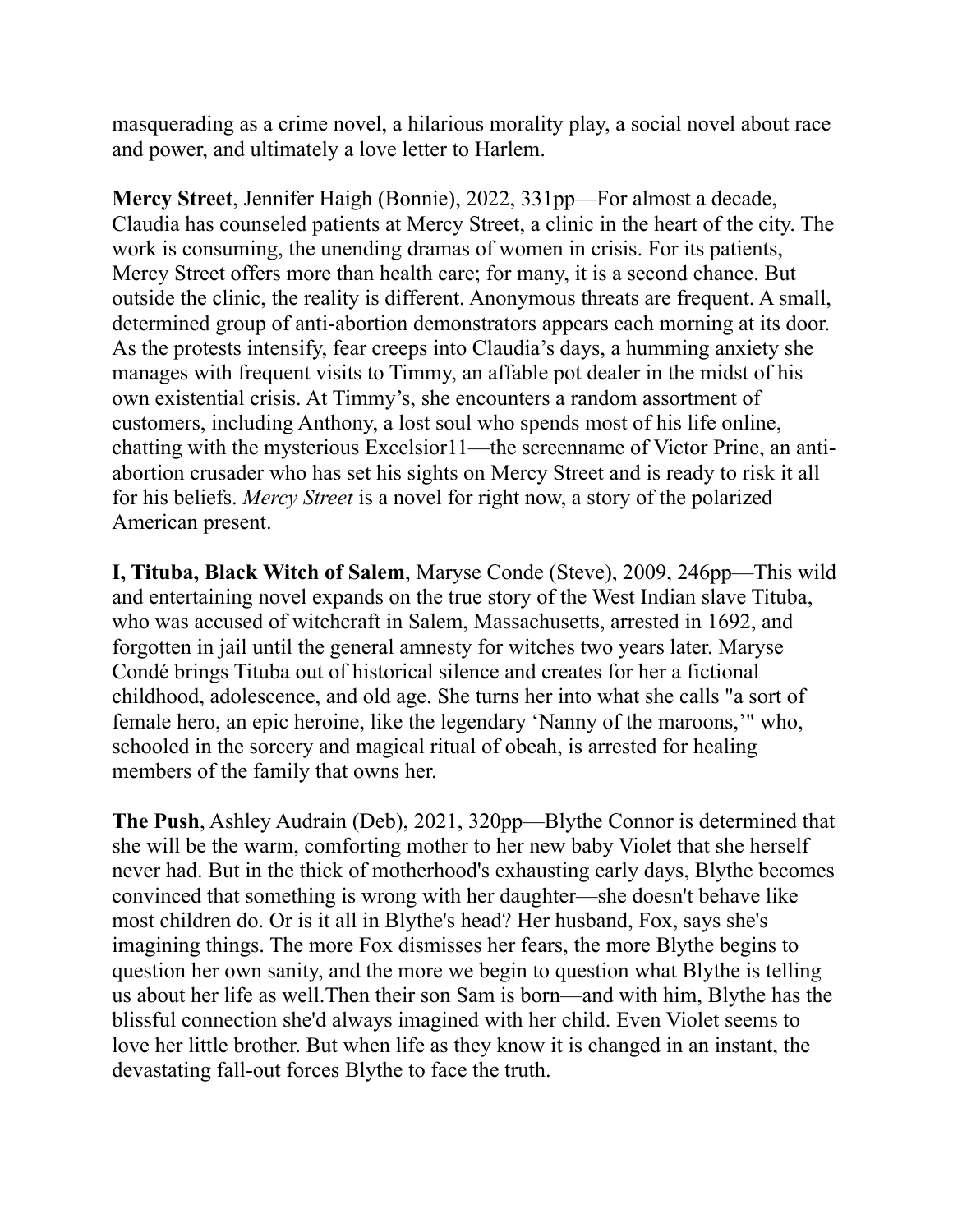masquerading as a crime novel, a hilarious morality play, a social novel about race and power, and ultimately a love letter to Harlem.

**Mercy Street**, Jennifer Haigh (Bonnie), 2022, 331pp—For almost a decade, Claudia has counseled patients at Mercy Street, a clinic in the heart of the city. The work is consuming, the unending dramas of women in crisis. For its patients, Mercy Street offers more than health care; for many, it is a second chance. But outside the clinic, the reality is different. Anonymous threats are frequent. A small, determined group of anti-abortion demonstrators appears each morning at its door. As the protests intensify, fear creeps into Claudia's days, a humming anxiety she manages with frequent visits to Timmy, an affable pot dealer in the midst of his own existential crisis. At Timmy's, she encounters a random assortment of customers, including Anthony, a lost soul who spends most of his life online, chatting with the mysterious Excelsior11—the screenname of Victor Prine, an antiabortion crusader who has set his sights on Mercy Street and is ready to risk it all for his beliefs. *Mercy Street* is a novel for right now, a story of the polarized American present.

**I, Tituba, Black Witch of Salem**, Maryse Conde (Steve), 2009, 246pp—This wild and entertaining novel expands on the true story of the West Indian slave Tituba, who was accused of witchcraft in Salem, Massachusetts, arrested in 1692, and forgotten in jail until the general amnesty for witches two years later. Maryse Condé brings Tituba out of historical silence and creates for her a fictional childhood, adolescence, and old age. She turns her into what she calls "a sort of female hero, an epic heroine, like the legendary 'Nanny of the maroons,'" who, schooled in the sorcery and magical ritual of obeah, is arrested for healing members of the family that owns her.

**The Push**, Ashley Audrain (Deb), 2021, 320pp—Blythe Connor is determined that she will be the warm, comforting mother to her new baby Violet that she herself never had. But in the thick of motherhood's exhausting early days, Blythe becomes convinced that something is wrong with her daughter—she doesn't behave like most children do. Or is it all in Blythe's head? Her husband, Fox, says she's imagining things. The more Fox dismisses her fears, the more Blythe begins to question her own sanity, and the more we begin to question what Blythe is telling us about her life as well.Then their son Sam is born—and with him, Blythe has the blissful connection she'd always imagined with her child. Even Violet seems to love her little brother. But when life as they know it is changed in an instant, the devastating fall-out forces Blythe to face the truth.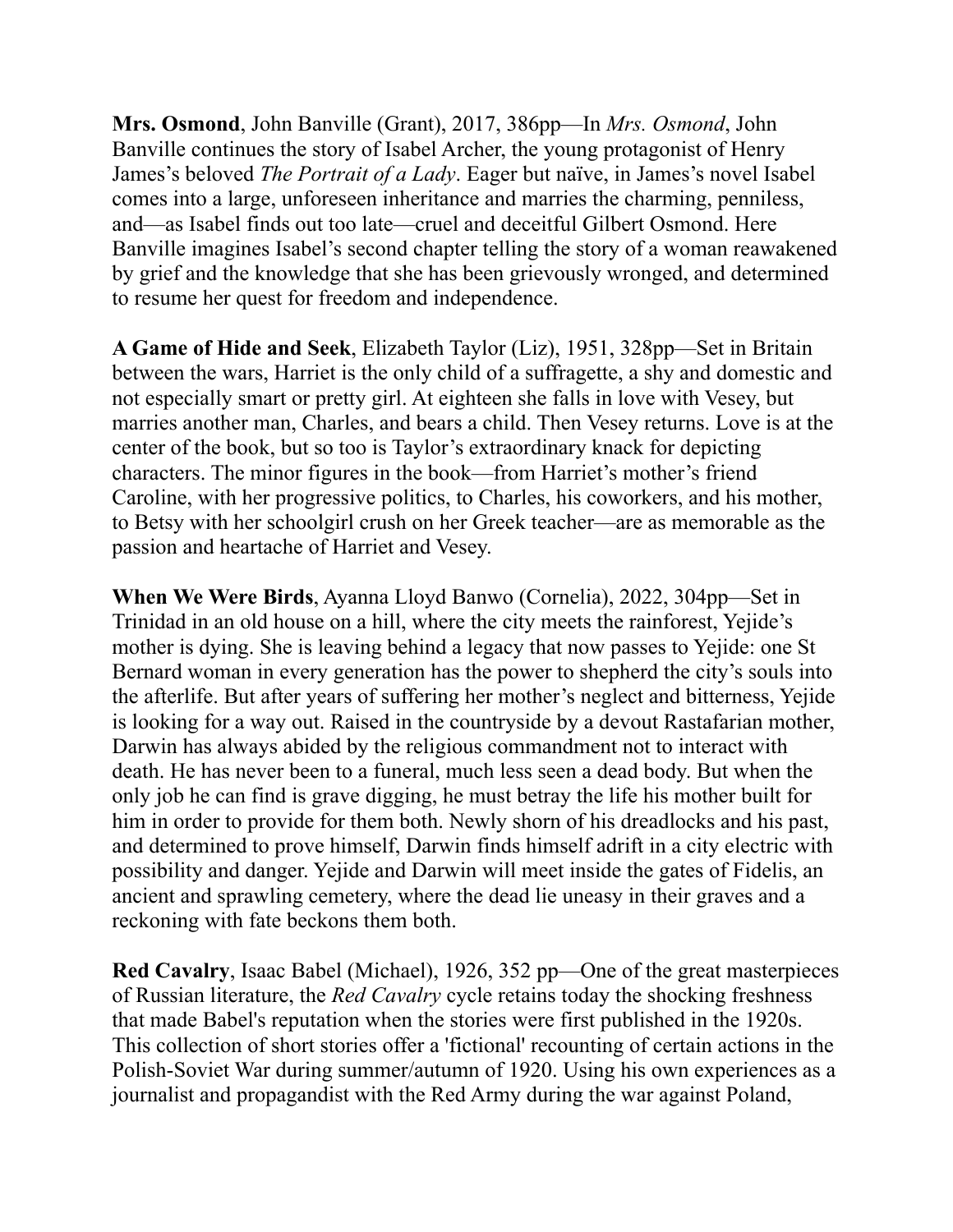**Mrs. Osmond**, John Banville (Grant), 2017, 386pp—In *Mrs. Osmond*, John Banville continues the story of Isabel Archer, the young protagonist of Henry James's beloved *The Portrait of a Lady*. Eager but naïve, in James's novel Isabel comes into a large, unforeseen inheritance and marries the charming, penniless, and—as Isabel finds out too late—cruel and deceitful Gilbert Osmond. Here Banville imagines Isabel's second chapter telling the story of a woman reawakened by grief and the knowledge that she has been grievously wronged, and determined to resume her quest for freedom and independence.

**A Game of Hide and Seek**, Elizabeth Taylor (Liz), 1951, 328pp—Set in Britain between the wars, Harriet is the only child of a suffragette, a shy and domestic and not especially smart or pretty girl. At eighteen she falls in love with Vesey, but marries another man, Charles, and bears a child. Then Vesey returns. Love is at the center of the book, but so too is Taylor's extraordinary knack for depicting characters. The minor figures in the book—from Harriet's mother's friend Caroline, with her progressive politics, to Charles, his coworkers, and his mother, to Betsy with her schoolgirl crush on her Greek teacher—are as memorable as the passion and heartache of Harriet and Vesey.

**When We Were Birds**, Ayanna Lloyd Banwo (Cornelia), 2022, 304pp—Set in Trinidad in an old house on a hill, where the city meets the rainforest, Yejide's mother is dying. She is leaving behind a legacy that now passes to Yejide: one St Bernard woman in every generation has the power to shepherd the city's souls into the afterlife. But after years of suffering her mother's neglect and bitterness, Yejide is looking for a way out. Raised in the countryside by a devout Rastafarian mother, Darwin has always abided by the religious commandment not to interact with death. He has never been to a funeral, much less seen a dead body. But when the only job he can find is grave digging, he must betray the life his mother built for him in order to provide for them both. Newly shorn of his dreadlocks and his past, and determined to prove himself, Darwin finds himself adrift in a city electric with possibility and danger. Yejide and Darwin will meet inside the gates of Fidelis, an ancient and sprawling cemetery, where the dead lie uneasy in their graves and a reckoning with fate beckons them both.

**Red Cavalry**, Isaac Babel (Michael), 1926, 352 pp—One of the great masterpieces of Russian literature, the *Red Cavalry* cycle retains today the shocking freshness that made Babel's reputation when the stories were first published in the 1920s. This collection of short stories offer a 'fictional' recounting of certain actions in the Polish-Soviet War during summer/autumn of 1920. Using his own experiences as a journalist and propagandist with the Red Army during the war against Poland,